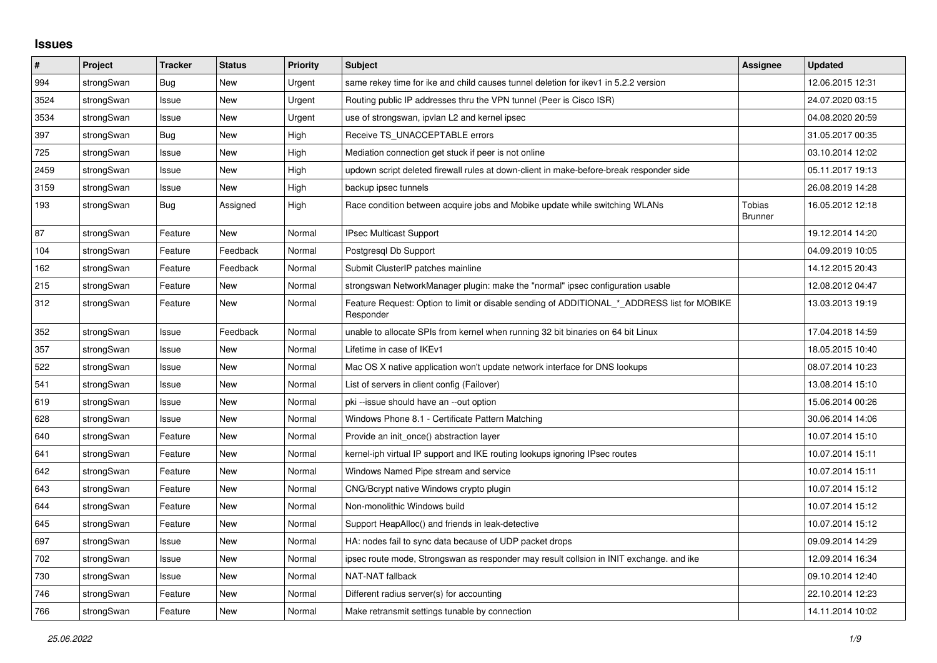## **Issues**

| #    | Project    | <b>Tracker</b> | <b>Status</b> | <b>Priority</b> | <b>Subject</b>                                                                                           | <b>Assignee</b>          | Updated          |
|------|------------|----------------|---------------|-----------------|----------------------------------------------------------------------------------------------------------|--------------------------|------------------|
| 994  | strongSwan | Bug            | <b>New</b>    | Urgent          | same rekey time for ike and child causes tunnel deletion for ikev1 in 5.2.2 version                      |                          | 12.06.2015 12:31 |
| 3524 | strongSwan | Issue          | <b>New</b>    | Urgent          | Routing public IP addresses thru the VPN tunnel (Peer is Cisco ISR)                                      |                          | 24.07.2020 03:15 |
| 3534 | strongSwan | Issue          | New           | Urgent          | use of strongswan, ipvlan L2 and kernel ipsec                                                            |                          | 04.08.2020 20:59 |
| 397  | strongSwan | <b>Bug</b>     | New           | High            | Receive TS_UNACCEPTABLE errors                                                                           |                          | 31.05.2017 00:35 |
| 725  | strongSwan | Issue          | <b>New</b>    | High            | Mediation connection get stuck if peer is not online                                                     |                          | 03.10.2014 12:02 |
| 2459 | strongSwan | Issue          | New           | High            | updown script deleted firewall rules at down-client in make-before-break responder side                  |                          | 05.11.2017 19:13 |
| 3159 | strongSwan | Issue          | <b>New</b>    | High            | backup ipsec tunnels                                                                                     |                          | 26.08.2019 14:28 |
| 193  | strongSwan | Bug            | Assigned      | High            | Race condition between acquire jobs and Mobike update while switching WLANs                              | Tobias<br><b>Brunner</b> | 16.05.2012 12:18 |
| 87   | strongSwan | Feature        | New           | Normal          | <b>IPsec Multicast Support</b>                                                                           |                          | 19.12.2014 14:20 |
| 104  | strongSwan | Feature        | Feedback      | Normal          | Postgresgl Db Support                                                                                    |                          | 04.09.2019 10:05 |
| 162  | strongSwan | Feature        | Feedback      | Normal          | Submit ClusterIP patches mainline                                                                        |                          | 14.12.2015 20:43 |
| 215  | strongSwan | Feature        | <b>New</b>    | Normal          | strongswan NetworkManager plugin: make the "normal" ipsec configuration usable                           |                          | 12.08.2012 04:47 |
| 312  | strongSwan | Feature        | New           | Normal          | Feature Request: Option to limit or disable sending of ADDITIONAL * ADDRESS list for MOBIKE<br>Responder |                          | 13.03.2013 19:19 |
| 352  | strongSwan | Issue          | Feedback      | Normal          | unable to allocate SPIs from kernel when running 32 bit binaries on 64 bit Linux                         |                          | 17.04.2018 14:59 |
| 357  | strongSwan | Issue          | <b>New</b>    | Normal          | Lifetime in case of IKEv1                                                                                |                          | 18.05.2015 10:40 |
| 522  | strongSwan | Issue          | <b>New</b>    | Normal          | Mac OS X native application won't update network interface for DNS lookups                               |                          | 08.07.2014 10:23 |
| 541  | strongSwan | Issue          | <b>New</b>    | Normal          | List of servers in client config (Failover)                                                              |                          | 13.08.2014 15:10 |
| 619  | strongSwan | Issue          | <b>New</b>    | Normal          | pki --issue should have an --out option                                                                  |                          | 15.06.2014 00:26 |
| 628  | strongSwan | Issue          | New           | Normal          | Windows Phone 8.1 - Certificate Pattern Matching                                                         |                          | 30.06.2014 14:06 |
| 640  | strongSwan | Feature        | <b>New</b>    | Normal          | Provide an init_once() abstraction layer                                                                 |                          | 10.07.2014 15:10 |
| 641  | strongSwan | Feature        | <b>New</b>    | Normal          | kernel-iph virtual IP support and IKE routing lookups ignoring IPsec routes                              |                          | 10.07.2014 15:11 |
| 642  | strongSwan | Feature        | New           | Normal          | Windows Named Pipe stream and service                                                                    |                          | 10.07.2014 15:11 |
| 643  | strongSwan | Feature        | <b>New</b>    | Normal          | CNG/Bcrypt native Windows crypto plugin                                                                  |                          | 10.07.2014 15:12 |
| 644  | strongSwan | Feature        | New           | Normal          | Non-monolithic Windows build                                                                             |                          | 10.07.2014 15:12 |
| 645  | strongSwan | Feature        | New           | Normal          | Support HeapAlloc() and friends in leak-detective                                                        |                          | 10.07.2014 15:12 |
| 697  | strongSwan | Issue          | <b>New</b>    | Normal          | HA: nodes fail to sync data because of UDP packet drops                                                  |                          | 09.09.2014 14:29 |
| 702  | strongSwan | Issue          | <b>New</b>    | Normal          | ipsec route mode, Strongswan as responder may result collsion in INIT exchange. and ike                  |                          | 12.09.2014 16:34 |
| 730  | strongSwan | Issue          | New           | Normal          | <b>NAT-NAT fallback</b>                                                                                  |                          | 09.10.2014 12:40 |
| 746  | strongSwan | Feature        | New           | Normal          | Different radius server(s) for accounting                                                                |                          | 22.10.2014 12:23 |
| 766  | strongSwan | Feature        | <b>New</b>    | Normal          | Make retransmit settings tunable by connection                                                           |                          | 14.11.2014 10:02 |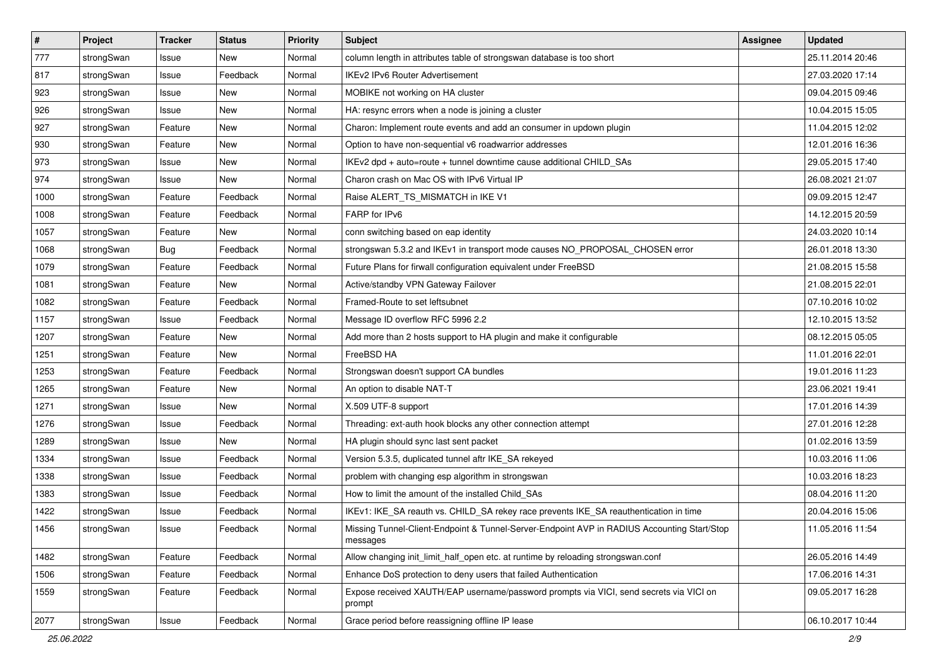| $\vert$ # | Project    | <b>Tracker</b> | <b>Status</b> | Priority | <b>Subject</b>                                                                                          | <b>Assignee</b> | <b>Updated</b>   |
|-----------|------------|----------------|---------------|----------|---------------------------------------------------------------------------------------------------------|-----------------|------------------|
| 777       | strongSwan | Issue          | New           | Normal   | column length in attributes table of strongswan database is too short                                   |                 | 25.11.2014 20:46 |
| 817       | strongSwan | Issue          | Feedback      | Normal   | <b>IKEv2 IPv6 Router Advertisement</b>                                                                  |                 | 27.03.2020 17:14 |
| 923       | strongSwan | Issue          | New           | Normal   | MOBIKE not working on HA cluster                                                                        |                 | 09.04.2015 09:46 |
| 926       | strongSwan | Issue          | New           | Normal   | HA: resync errors when a node is joining a cluster                                                      |                 | 10.04.2015 15:05 |
| 927       | strongSwan | Feature        | New           | Normal   | Charon: Implement route events and add an consumer in updown plugin                                     |                 | 11.04.2015 12:02 |
| 930       | strongSwan | Feature        | New           | Normal   | Option to have non-sequential v6 roadwarrior addresses                                                  |                 | 12.01.2016 16:36 |
| 973       | strongSwan | Issue          | New           | Normal   | IKEv2 dpd + auto=route + tunnel downtime cause additional CHILD_SAs                                     |                 | 29.05.2015 17:40 |
| 974       | strongSwan | Issue          | <b>New</b>    | Normal   | Charon crash on Mac OS with IPv6 Virtual IP                                                             |                 | 26.08.2021 21:07 |
| 1000      | strongSwan | Feature        | Feedback      | Normal   | Raise ALERT_TS_MISMATCH in IKE V1                                                                       |                 | 09.09.2015 12:47 |
| 1008      | strongSwan | Feature        | Feedback      | Normal   | FARP for IPv6                                                                                           |                 | 14.12.2015 20:59 |
| 1057      | strongSwan | Feature        | New           | Normal   | conn switching based on eap identity                                                                    |                 | 24.03.2020 10:14 |
| 1068      | strongSwan | <b>Bug</b>     | Feedback      | Normal   | strongswan 5.3.2 and IKEv1 in transport mode causes NO_PROPOSAL_CHOSEN error                            |                 | 26.01.2018 13:30 |
| 1079      | strongSwan | Feature        | Feedback      | Normal   | Future Plans for firwall configuration equivalent under FreeBSD                                         |                 | 21.08.2015 15:58 |
| 1081      | strongSwan | Feature        | New           | Normal   | Active/standby VPN Gateway Failover                                                                     |                 | 21.08.2015 22:01 |
| 1082      | strongSwan | Feature        | Feedback      | Normal   | Framed-Route to set leftsubnet                                                                          |                 | 07.10.2016 10:02 |
| 1157      | strongSwan | Issue          | Feedback      | Normal   | Message ID overflow RFC 5996 2.2                                                                        |                 | 12.10.2015 13:52 |
| 1207      | strongSwan | Feature        | New           | Normal   | Add more than 2 hosts support to HA plugin and make it configurable                                     |                 | 08.12.2015 05:05 |
| 1251      | strongSwan | Feature        | New           | Normal   | FreeBSD HA                                                                                              |                 | 11.01.2016 22:01 |
| 1253      | strongSwan | Feature        | Feedback      | Normal   | Strongswan doesn't support CA bundles                                                                   |                 | 19.01.2016 11:23 |
| 1265      | strongSwan | Feature        | New           | Normal   | An option to disable NAT-T                                                                              |                 | 23.06.2021 19:41 |
| 1271      | strongSwan | Issue          | New           | Normal   | X.509 UTF-8 support                                                                                     |                 | 17.01.2016 14:39 |
| 1276      | strongSwan | Issue          | Feedback      | Normal   | Threading: ext-auth hook blocks any other connection attempt                                            |                 | 27.01.2016 12:28 |
| 1289      | strongSwan | Issue          | New           | Normal   | HA plugin should sync last sent packet                                                                  |                 | 01.02.2016 13:59 |
| 1334      | strongSwan | Issue          | Feedback      | Normal   | Version 5.3.5, duplicated tunnel aftr IKE_SA rekeyed                                                    |                 | 10.03.2016 11:06 |
| 1338      | strongSwan | Issue          | Feedback      | Normal   | problem with changing esp algorithm in strongswan                                                       |                 | 10.03.2016 18:23 |
| 1383      | strongSwan | Issue          | Feedback      | Normal   | How to limit the amount of the installed Child_SAs                                                      |                 | 08.04.2016 11:20 |
| 1422      | strongSwan | Issue          | Feedback      | Normal   | IKEv1: IKE_SA reauth vs. CHILD_SA rekey race prevents IKE_SA reauthentication in time                   |                 | 20.04.2016 15:06 |
| 1456      | strongSwan | Issue          | Feedback      | Normal   | Missing Tunnel-Client-Endpoint & Tunnel-Server-Endpoint AVP in RADIUS Accounting Start/Stop<br>messages |                 | 11.05.2016 11:54 |
| 1482      | strongSwan | Feature        | Feedback      | Normal   | Allow changing init_limit_half_open etc. at runtime by reloading strongswan.conf                        |                 | 26.05.2016 14:49 |
| 1506      | strongSwan | Feature        | Feedback      | Normal   | Enhance DoS protection to deny users that failed Authentication                                         |                 | 17.06.2016 14:31 |
| 1559      | strongSwan | Feature        | Feedback      | Normal   | Expose received XAUTH/EAP username/password prompts via VICI, send secrets via VICI on<br>prompt        |                 | 09.05.2017 16:28 |
| 2077      | strongSwan | Issue          | Feedback      | Normal   | Grace period before reassigning offline IP lease                                                        |                 | 06.10.2017 10:44 |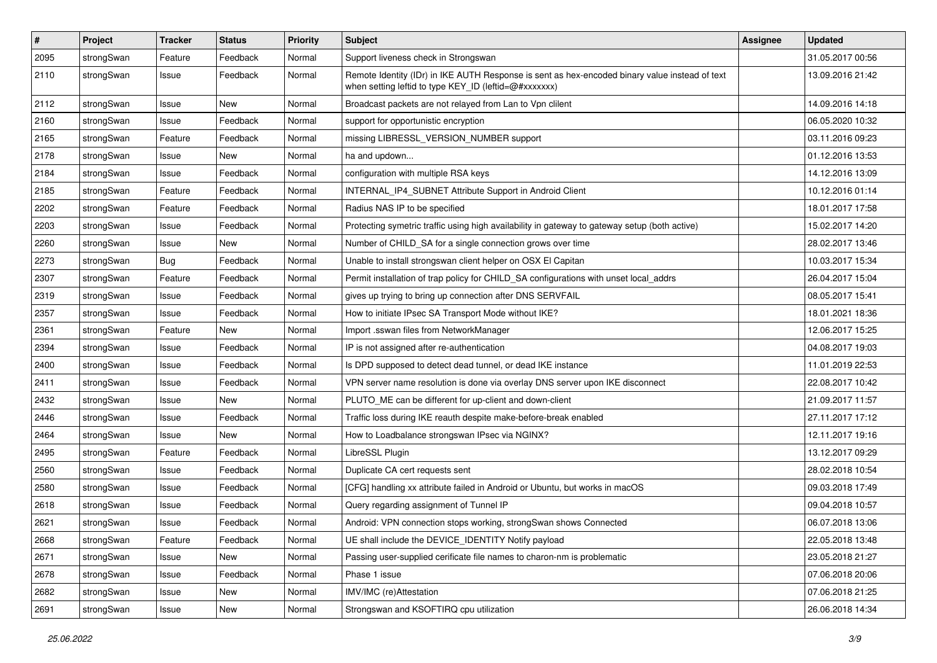| $\pmb{\#}$ | Project    | <b>Tracker</b> | <b>Status</b> | <b>Priority</b> | <b>Subject</b>                                                                                                                                          | <b>Assignee</b> | <b>Updated</b>   |
|------------|------------|----------------|---------------|-----------------|---------------------------------------------------------------------------------------------------------------------------------------------------------|-----------------|------------------|
| 2095       | strongSwan | Feature        | Feedback      | Normal          | Support liveness check in Strongswan                                                                                                                    |                 | 31.05.2017 00:56 |
| 2110       | strongSwan | Issue          | Feedback      | Normal          | Remote Identity (IDr) in IKE AUTH Response is sent as hex-encoded binary value instead of text<br>when setting leftid to type KEY_ID (leftid=@#xxxxxxx) |                 | 13.09.2016 21:42 |
| 2112       | strongSwan | Issue          | New           | Normal          | Broadcast packets are not relayed from Lan to Vpn clilent                                                                                               |                 | 14.09.2016 14:18 |
| 2160       | strongSwan | Issue          | Feedback      | Normal          | support for opportunistic encryption                                                                                                                    |                 | 06.05.2020 10:32 |
| 2165       | strongSwan | Feature        | Feedback      | Normal          | missing LIBRESSL_VERSION_NUMBER support                                                                                                                 |                 | 03.11.2016 09:23 |
| 2178       | strongSwan | Issue          | New           | Normal          | ha and updown                                                                                                                                           |                 | 01.12.2016 13:53 |
| 2184       | strongSwan | Issue          | Feedback      | Normal          | configuration with multiple RSA keys                                                                                                                    |                 | 14.12.2016 13:09 |
| 2185       | strongSwan | Feature        | Feedback      | Normal          | INTERNAL_IP4_SUBNET Attribute Support in Android Client                                                                                                 |                 | 10.12.2016 01:14 |
| 2202       | strongSwan | Feature        | Feedback      | Normal          | Radius NAS IP to be specified                                                                                                                           |                 | 18.01.2017 17:58 |
| 2203       | strongSwan | Issue          | Feedback      | Normal          | Protecting symetric traffic using high availability in gateway to gateway setup (both active)                                                           |                 | 15.02.2017 14:20 |
| 2260       | strongSwan | Issue          | New           | Normal          | Number of CHILD_SA for a single connection grows over time                                                                                              |                 | 28.02.2017 13:46 |
| 2273       | strongSwan | Bug            | Feedback      | Normal          | Unable to install strongswan client helper on OSX El Capitan                                                                                            |                 | 10.03.2017 15:34 |
| 2307       | strongSwan | Feature        | Feedback      | Normal          | Permit installation of trap policy for CHILD_SA configurations with unset local_addrs                                                                   |                 | 26.04.2017 15:04 |
| 2319       | strongSwan | Issue          | Feedback      | Normal          | gives up trying to bring up connection after DNS SERVFAIL                                                                                               |                 | 08.05.2017 15:41 |
| 2357       | strongSwan | Issue          | Feedback      | Normal          | How to initiate IPsec SA Transport Mode without IKE?                                                                                                    |                 | 18.01.2021 18:36 |
| 2361       | strongSwan | Feature        | New           | Normal          | Import .sswan files from NetworkManager                                                                                                                 |                 | 12.06.2017 15:25 |
| 2394       | strongSwan | Issue          | Feedback      | Normal          | IP is not assigned after re-authentication                                                                                                              |                 | 04.08.2017 19:03 |
| 2400       | strongSwan | Issue          | Feedback      | Normal          | Is DPD supposed to detect dead tunnel, or dead IKE instance                                                                                             |                 | 11.01.2019 22:53 |
| 2411       | strongSwan | Issue          | Feedback      | Normal          | VPN server name resolution is done via overlay DNS server upon IKE disconnect                                                                           |                 | 22.08.2017 10:42 |
| 2432       | strongSwan | Issue          | New           | Normal          | PLUTO_ME can be different for up-client and down-client                                                                                                 |                 | 21.09.2017 11:57 |
| 2446       | strongSwan | Issue          | Feedback      | Normal          | Traffic loss during IKE reauth despite make-before-break enabled                                                                                        |                 | 27.11.2017 17:12 |
| 2464       | strongSwan | Issue          | <b>New</b>    | Normal          | How to Loadbalance strongswan IPsec via NGINX?                                                                                                          |                 | 12.11.2017 19:16 |
| 2495       | strongSwan | Feature        | Feedback      | Normal          | LibreSSL Plugin                                                                                                                                         |                 | 13.12.2017 09:29 |
| 2560       | strongSwan | Issue          | Feedback      | Normal          | Duplicate CA cert requests sent                                                                                                                         |                 | 28.02.2018 10:54 |
| 2580       | strongSwan | Issue          | Feedback      | Normal          | [CFG] handling xx attribute failed in Android or Ubuntu, but works in macOS                                                                             |                 | 09.03.2018 17:49 |
| 2618       | strongSwan | Issue          | Feedback      | Normal          | Query regarding assignment of Tunnel IP                                                                                                                 |                 | 09.04.2018 10:57 |
| 2621       | strongSwan | Issue          | Feedback      | Normal          | Android: VPN connection stops working, strongSwan shows Connected                                                                                       |                 | 06.07.2018 13:06 |
| 2668       | strongSwan | Feature        | Feedback      | Normal          | UE shall include the DEVICE_IDENTITY Notify payload                                                                                                     |                 | 22.05.2018 13:48 |
| 2671       | strongSwan | Issue          | New           | Normal          | Passing user-supplied cerificate file names to charon-nm is problematic                                                                                 |                 | 23.05.2018 21:27 |
| 2678       | strongSwan | Issue          | Feedback      | Normal          | Phase 1 issue                                                                                                                                           |                 | 07.06.2018 20:06 |
| 2682       | strongSwan | Issue          | New           | Normal          | IMV/IMC (re)Attestation                                                                                                                                 |                 | 07.06.2018 21:25 |
| 2691       | strongSwan | Issue          | New           | Normal          | Strongswan and KSOFTIRQ cpu utilization                                                                                                                 |                 | 26.06.2018 14:34 |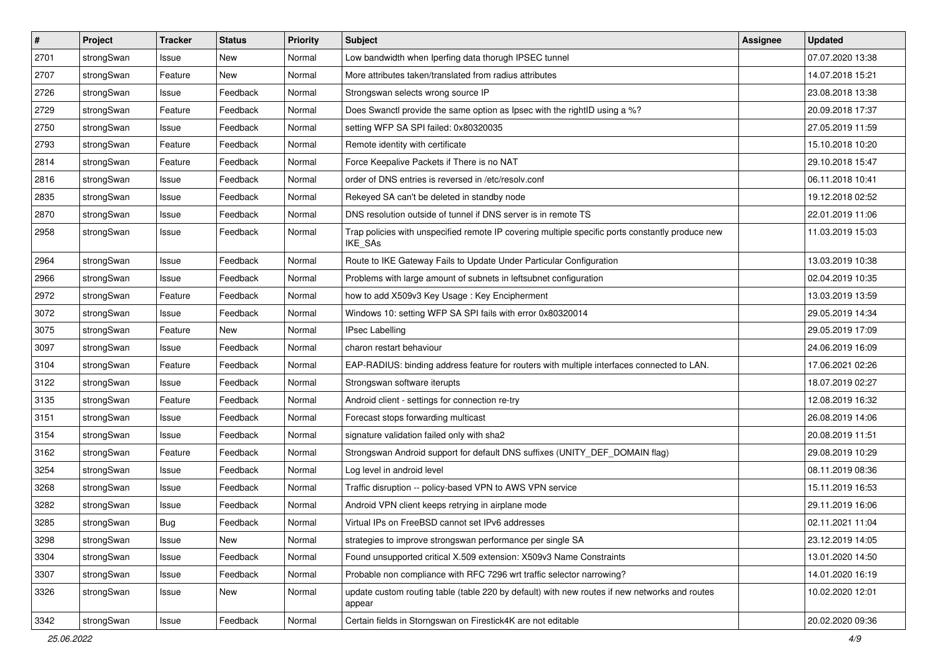| $\vert$ # | Project    | <b>Tracker</b> | <b>Status</b> | <b>Priority</b> | <b>Subject</b>                                                                                              | <b>Assignee</b> | <b>Updated</b>   |
|-----------|------------|----------------|---------------|-----------------|-------------------------------------------------------------------------------------------------------------|-----------------|------------------|
| 2701      | strongSwan | Issue          | New           | Normal          | Low bandwidth when Iperfing data thorugh IPSEC tunnel                                                       |                 | 07.07.2020 13:38 |
| 2707      | strongSwan | Feature        | New           | Normal          | More attributes taken/translated from radius attributes                                                     |                 | 14.07.2018 15:21 |
| 2726      | strongSwan | Issue          | Feedback      | Normal          | Strongswan selects wrong source IP                                                                          |                 | 23.08.2018 13:38 |
| 2729      | strongSwan | Feature        | Feedback      | Normal          | Does Swanctl provide the same option as Ipsec with the rightID using a %?                                   |                 | 20.09.2018 17:37 |
| 2750      | strongSwan | Issue          | Feedback      | Normal          | setting WFP SA SPI failed: 0x80320035                                                                       |                 | 27.05.2019 11:59 |
| 2793      | strongSwan | Feature        | Feedback      | Normal          | Remote identity with certificate                                                                            |                 | 15.10.2018 10:20 |
| 2814      | strongSwan | Feature        | Feedback      | Normal          | Force Keepalive Packets if There is no NAT                                                                  |                 | 29.10.2018 15:47 |
| 2816      | strongSwan | Issue          | Feedback      | Normal          | order of DNS entries is reversed in /etc/resolv.conf                                                        |                 | 06.11.2018 10:41 |
| 2835      | strongSwan | Issue          | Feedback      | Normal          | Rekeyed SA can't be deleted in standby node                                                                 |                 | 19.12.2018 02:52 |
| 2870      | strongSwan | Issue          | Feedback      | Normal          | DNS resolution outside of tunnel if DNS server is in remote TS                                              |                 | 22.01.2019 11:06 |
| 2958      | strongSwan | Issue          | Feedback      | Normal          | Trap policies with unspecified remote IP covering multiple specific ports constantly produce new<br>IKE_SAs |                 | 11.03.2019 15:03 |
| 2964      | strongSwan | Issue          | Feedback      | Normal          | Route to IKE Gateway Fails to Update Under Particular Configuration                                         |                 | 13.03.2019 10:38 |
| 2966      | strongSwan | Issue          | Feedback      | Normal          | Problems with large amount of subnets in leftsubnet configuration                                           |                 | 02.04.2019 10:35 |
| 2972      | strongSwan | Feature        | Feedback      | Normal          | how to add X509v3 Key Usage: Key Encipherment                                                               |                 | 13.03.2019 13:59 |
| 3072      | strongSwan | Issue          | Feedback      | Normal          | Windows 10: setting WFP SA SPI fails with error 0x80320014                                                  |                 | 29.05.2019 14:34 |
| 3075      | strongSwan | Feature        | New           | Normal          | <b>IPsec Labelling</b>                                                                                      |                 | 29.05.2019 17:09 |
| 3097      | strongSwan | Issue          | Feedback      | Normal          | charon restart behaviour                                                                                    |                 | 24.06.2019 16:09 |
| 3104      | strongSwan | Feature        | Feedback      | Normal          | EAP-RADIUS: binding address feature for routers with multiple interfaces connected to LAN.                  |                 | 17.06.2021 02:26 |
| 3122      | strongSwan | Issue          | Feedback      | Normal          | Strongswan software iterupts                                                                                |                 | 18.07.2019 02:27 |
| 3135      | strongSwan | Feature        | Feedback      | Normal          | Android client - settings for connection re-try                                                             |                 | 12.08.2019 16:32 |
| 3151      | strongSwan | Issue          | Feedback      | Normal          | Forecast stops forwarding multicast                                                                         |                 | 26.08.2019 14:06 |
| 3154      | strongSwan | Issue          | Feedback      | Normal          | signature validation failed only with sha2                                                                  |                 | 20.08.2019 11:51 |
| 3162      | strongSwan | Feature        | Feedback      | Normal          | Strongswan Android support for default DNS suffixes (UNITY DEF DOMAIN flag)                                 |                 | 29.08.2019 10:29 |
| 3254      | strongSwan | Issue          | Feedback      | Normal          | Log level in android level                                                                                  |                 | 08.11.2019 08:36 |
| 3268      | strongSwan | Issue          | Feedback      | Normal          | Traffic disruption -- policy-based VPN to AWS VPN service                                                   |                 | 15.11.2019 16:53 |
| 3282      | strongSwan | Issue          | Feedback      | Normal          | Android VPN client keeps retrying in airplane mode                                                          |                 | 29.11.2019 16:06 |
| 3285      | strongSwan | Bug            | Feedback      | Normal          | Virtual IPs on FreeBSD cannot set IPv6 addresses                                                            |                 | 02.11.2021 11:04 |
| 3298      | strongSwan | Issue          | New           | Normal          | strategies to improve strongswan performance per single SA                                                  |                 | 23.12.2019 14:05 |
| 3304      | strongSwan | Issue          | Feedback      | Normal          | Found unsupported critical X.509 extension: X509v3 Name Constraints                                         |                 | 13.01.2020 14:50 |
| 3307      | strongSwan | Issue          | Feedback      | Normal          | Probable non compliance with RFC 7296 wrt traffic selector narrowing?                                       |                 | 14.01.2020 16:19 |
| 3326      | strongSwan | Issue          | New           | Normal          | update custom routing table (table 220 by default) with new routes if new networks and routes<br>appear     |                 | 10.02.2020 12:01 |
| 3342      | strongSwan | Issue          | Feedback      | Normal          | Certain fields in Storngswan on Firestick4K are not editable                                                |                 | 20.02.2020 09:36 |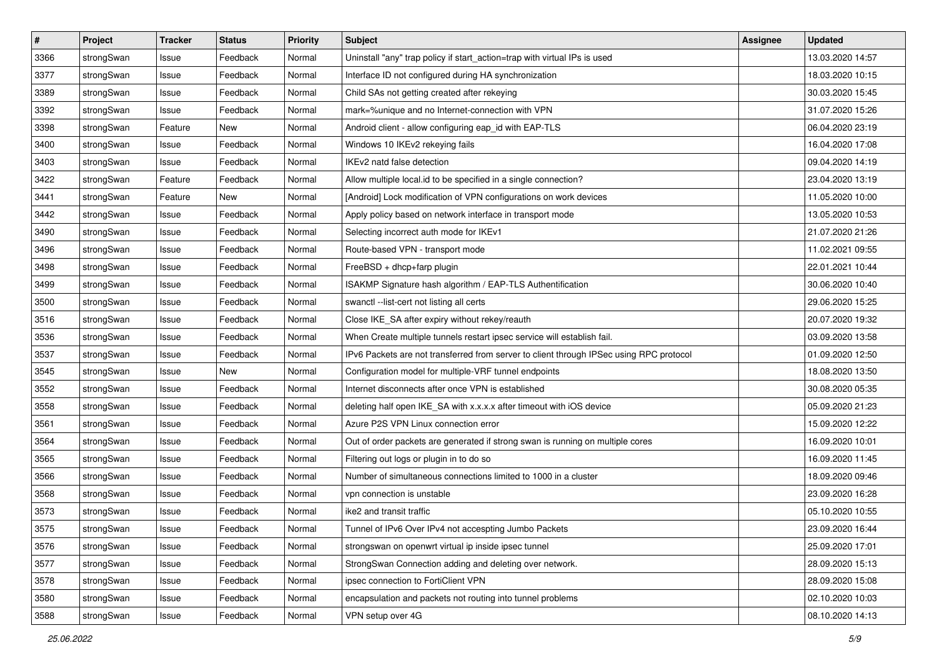| $\sharp$ | Project    | <b>Tracker</b> | <b>Status</b> | <b>Priority</b> | <b>Subject</b>                                                                          | <b>Assignee</b> | <b>Updated</b>   |
|----------|------------|----------------|---------------|-----------------|-----------------------------------------------------------------------------------------|-----------------|------------------|
| 3366     | strongSwan | Issue          | Feedback      | Normal          | Uninstall "any" trap policy if start_action=trap with virtual IPs is used               |                 | 13.03.2020 14:57 |
| 3377     | strongSwan | Issue          | Feedback      | Normal          | Interface ID not configured during HA synchronization                                   |                 | 18.03.2020 10:15 |
| 3389     | strongSwan | Issue          | Feedback      | Normal          | Child SAs not getting created after rekeying                                            |                 | 30.03.2020 15:45 |
| 3392     | strongSwan | Issue          | Feedback      | Normal          | mark=%unique and no Internet-connection with VPN                                        |                 | 31.07.2020 15:26 |
| 3398     | strongSwan | Feature        | New           | Normal          | Android client - allow configuring eap_id with EAP-TLS                                  |                 | 06.04.2020 23:19 |
| 3400     | strongSwan | Issue          | Feedback      | Normal          | Windows 10 IKEv2 rekeying fails                                                         |                 | 16.04.2020 17:08 |
| 3403     | strongSwan | Issue          | Feedback      | Normal          | IKEv2 natd false detection                                                              |                 | 09.04.2020 14:19 |
| 3422     | strongSwan | Feature        | Feedback      | Normal          | Allow multiple local id to be specified in a single connection?                         |                 | 23.04.2020 13:19 |
| 3441     | strongSwan | Feature        | <b>New</b>    | Normal          | [Android] Lock modification of VPN configurations on work devices                       |                 | 11.05.2020 10:00 |
| 3442     | strongSwan | Issue          | Feedback      | Normal          | Apply policy based on network interface in transport mode                               |                 | 13.05.2020 10:53 |
| 3490     | strongSwan | Issue          | Feedback      | Normal          | Selecting incorrect auth mode for IKEv1                                                 |                 | 21.07.2020 21:26 |
| 3496     | strongSwan | Issue          | Feedback      | Normal          | Route-based VPN - transport mode                                                        |                 | 11.02.2021 09:55 |
| 3498     | strongSwan | Issue          | Feedback      | Normal          | FreeBSD + dhcp+farp plugin                                                              |                 | 22.01.2021 10:44 |
| 3499     | strongSwan | Issue          | Feedback      | Normal          | ISAKMP Signature hash algorithm / EAP-TLS Authentification                              |                 | 30.06.2020 10:40 |
| 3500     | strongSwan | Issue          | Feedback      | Normal          | swanctl --list-cert not listing all certs                                               |                 | 29.06.2020 15:25 |
| 3516     | strongSwan | Issue          | Feedback      | Normal          | Close IKE_SA after expiry without rekey/reauth                                          |                 | 20.07.2020 19:32 |
| 3536     | strongSwan | Issue          | Feedback      | Normal          | When Create multiple tunnels restart ipsec service will establish fail.                 |                 | 03.09.2020 13:58 |
| 3537     | strongSwan | Issue          | Feedback      | Normal          | IPv6 Packets are not transferred from server to client through IPSec using RPC protocol |                 | 01.09.2020 12:50 |
| 3545     | strongSwan | Issue          | New           | Normal          | Configuration model for multiple-VRF tunnel endpoints                                   |                 | 18.08.2020 13:50 |
| 3552     | strongSwan | Issue          | Feedback      | Normal          | Internet disconnects after once VPN is established                                      |                 | 30.08.2020 05:35 |
| 3558     | strongSwan | Issue          | Feedback      | Normal          | deleting half open IKE_SA with x.x.x.x after timeout with iOS device                    |                 | 05.09.2020 21:23 |
| 3561     | strongSwan | Issue          | Feedback      | Normal          | Azure P2S VPN Linux connection error                                                    |                 | 15.09.2020 12:22 |
| 3564     | strongSwan | Issue          | Feedback      | Normal          | Out of order packets are generated if strong swan is running on multiple cores          |                 | 16.09.2020 10:01 |
| 3565     | strongSwan | Issue          | Feedback      | Normal          | Filtering out logs or plugin in to do so                                                |                 | 16.09.2020 11:45 |
| 3566     | strongSwan | Issue          | Feedback      | Normal          | Number of simultaneous connections limited to 1000 in a cluster                         |                 | 18.09.2020 09:46 |
| 3568     | strongSwan | Issue          | Feedback      | Normal          | vpn connection is unstable                                                              |                 | 23.09.2020 16:28 |
| 3573     | strongSwan | Issue          | Feedback      | Normal          | ike2 and transit traffic                                                                |                 | 05.10.2020 10:55 |
| 3575     | strongSwan | Issue          | Feedback      | Normal          | Tunnel of IPv6 Over IPv4 not accespting Jumbo Packets                                   |                 | 23.09.2020 16:44 |
| 3576     | strongSwan | Issue          | Feedback      | Normal          | strongswan on openwrt virtual ip inside ipsec tunnel                                    |                 | 25.09.2020 17:01 |
| 3577     | strongSwan | Issue          | Feedback      | Normal          | StrongSwan Connection adding and deleting over network.                                 |                 | 28.09.2020 15:13 |
| 3578     | strongSwan | Issue          | Feedback      | Normal          | ipsec connection to FortiClient VPN                                                     |                 | 28.09.2020 15:08 |
| 3580     | strongSwan | Issue          | Feedback      | Normal          | encapsulation and packets not routing into tunnel problems                              |                 | 02.10.2020 10:03 |
| 3588     | strongSwan | Issue          | Feedback      | Normal          | VPN setup over 4G                                                                       |                 | 08.10.2020 14:13 |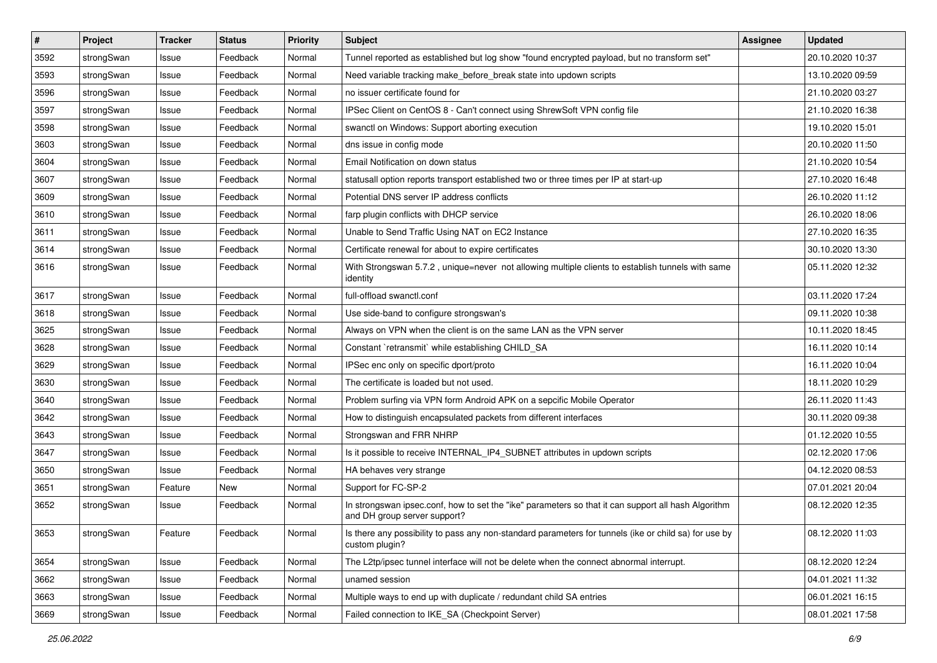| $\sharp$ | Project    | <b>Tracker</b> | <b>Status</b> | <b>Priority</b> | <b>Subject</b>                                                                                                                      | <b>Assignee</b> | <b>Updated</b>   |
|----------|------------|----------------|---------------|-----------------|-------------------------------------------------------------------------------------------------------------------------------------|-----------------|------------------|
| 3592     | strongSwan | Issue          | Feedback      | Normal          | Tunnel reported as established but log show "found encrypted payload, but no transform set"                                         |                 | 20.10.2020 10:37 |
| 3593     | strongSwan | Issue          | Feedback      | Normal          | Need variable tracking make_before_break state into updown scripts                                                                  |                 | 13.10.2020 09:59 |
| 3596     | strongSwan | Issue          | Feedback      | Normal          | no issuer certificate found for                                                                                                     |                 | 21.10.2020 03:27 |
| 3597     | strongSwan | Issue          | Feedback      | Normal          | IPSec Client on CentOS 8 - Can't connect using ShrewSoft VPN config file                                                            |                 | 21.10.2020 16:38 |
| 3598     | strongSwan | Issue          | Feedback      | Normal          | swanctl on Windows: Support aborting execution                                                                                      |                 | 19.10.2020 15:01 |
| 3603     | strongSwan | Issue          | Feedback      | Normal          | dns issue in config mode                                                                                                            |                 | 20.10.2020 11:50 |
| 3604     | strongSwan | Issue          | Feedback      | Normal          | Email Notification on down status                                                                                                   |                 | 21.10.2020 10:54 |
| 3607     | strongSwan | Issue          | Feedback      | Normal          | statusall option reports transport established two or three times per IP at start-up                                                |                 | 27.10.2020 16:48 |
| 3609     | strongSwan | Issue          | Feedback      | Normal          | Potential DNS server IP address conflicts                                                                                           |                 | 26.10.2020 11:12 |
| 3610     | strongSwan | Issue          | Feedback      | Normal          | farp plugin conflicts with DHCP service                                                                                             |                 | 26.10.2020 18:06 |
| 3611     | strongSwan | Issue          | Feedback      | Normal          | Unable to Send Traffic Using NAT on EC2 Instance                                                                                    |                 | 27.10.2020 16:35 |
| 3614     | strongSwan | Issue          | Feedback      | Normal          | Certificate renewal for about to expire certificates                                                                                |                 | 30.10.2020 13:30 |
| 3616     | strongSwan | Issue          | Feedback      | Normal          | With Strongswan 5.7.2, unique=never not allowing multiple clients to establish tunnels with same<br>identity                        |                 | 05.11.2020 12:32 |
| 3617     | strongSwan | Issue          | Feedback      | Normal          | full-offload swanctl.conf                                                                                                           |                 | 03.11.2020 17:24 |
| 3618     | strongSwan | Issue          | Feedback      | Normal          | Use side-band to configure strongswan's                                                                                             |                 | 09.11.2020 10:38 |
| 3625     | strongSwan | Issue          | Feedback      | Normal          | Always on VPN when the client is on the same LAN as the VPN server                                                                  |                 | 10.11.2020 18:45 |
| 3628     | strongSwan | Issue          | Feedback      | Normal          | Constant `retransmit` while establishing CHILD_SA                                                                                   |                 | 16.11.2020 10:14 |
| 3629     | strongSwan | Issue          | Feedback      | Normal          | IPSec enc only on specific dport/proto                                                                                              |                 | 16.11.2020 10:04 |
| 3630     | strongSwan | Issue          | Feedback      | Normal          | The certificate is loaded but not used.                                                                                             |                 | 18.11.2020 10:29 |
| 3640     | strongSwan | Issue          | Feedback      | Normal          | Problem surfing via VPN form Android APK on a sepcific Mobile Operator                                                              |                 | 26.11.2020 11:43 |
| 3642     | strongSwan | Issue          | Feedback      | Normal          | How to distinguish encapsulated packets from different interfaces                                                                   |                 | 30.11.2020 09:38 |
| 3643     | strongSwan | Issue          | Feedback      | Normal          | Strongswan and FRR NHRP                                                                                                             |                 | 01.12.2020 10:55 |
| 3647     | strongSwan | Issue          | Feedback      | Normal          | Is it possible to receive INTERNAL_IP4_SUBNET attributes in updown scripts                                                          |                 | 02.12.2020 17:06 |
| 3650     | strongSwan | Issue          | Feedback      | Normal          | HA behaves very strange                                                                                                             |                 | 04.12.2020 08:53 |
| 3651     | strongSwan | Feature        | New           | Normal          | Support for FC-SP-2                                                                                                                 |                 | 07.01.2021 20:04 |
| 3652     | strongSwan | Issue          | Feedback      | Normal          | In strongswan ipsec.conf, how to set the "ike" parameters so that it can support all hash Algorithm<br>and DH group server support? |                 | 08.12.2020 12:35 |
| 3653     | strongSwan | Feature        | Feedback      | Normal          | Is there any possibility to pass any non-standard parameters for tunnels (ike or child sa) for use by<br>custom plugin?             |                 | 08.12.2020 11:03 |
| 3654     | strongSwan | Issue          | Feedback      | Normal          | The L2tp/ipsec tunnel interface will not be delete when the connect abnormal interrupt.                                             |                 | 08.12.2020 12:24 |
| 3662     | strongSwan | Issue          | Feedback      | Normal          | unamed session                                                                                                                      |                 | 04.01.2021 11:32 |
| 3663     | strongSwan | Issue          | Feedback      | Normal          | Multiple ways to end up with duplicate / redundant child SA entries                                                                 |                 | 06.01.2021 16:15 |
| 3669     | strongSwan | Issue          | Feedback      | Normal          | Failed connection to IKE_SA (Checkpoint Server)                                                                                     |                 | 08.01.2021 17:58 |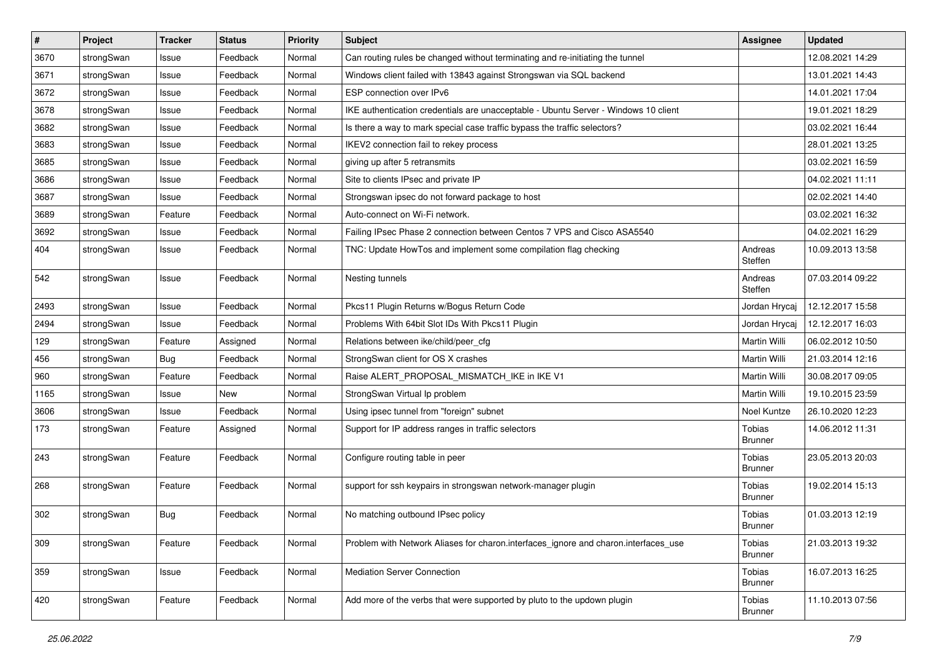| $\sharp$ | Project    | <b>Tracker</b> | <b>Status</b> | <b>Priority</b> | <b>Subject</b>                                                                      | <b>Assignee</b>                 | <b>Updated</b>   |
|----------|------------|----------------|---------------|-----------------|-------------------------------------------------------------------------------------|---------------------------------|------------------|
| 3670     | strongSwan | Issue          | Feedback      | Normal          | Can routing rules be changed without terminating and re-initiating the tunnel       |                                 | 12.08.2021 14:29 |
| 3671     | strongSwan | Issue          | Feedback      | Normal          | Windows client failed with 13843 against Strongswan via SQL backend                 |                                 | 13.01.2021 14:43 |
| 3672     | strongSwan | Issue          | Feedback      | Normal          | ESP connection over IPv6                                                            |                                 | 14.01.2021 17:04 |
| 3678     | strongSwan | Issue          | Feedback      | Normal          | IKE authentication credentials are unacceptable - Ubuntu Server - Windows 10 client |                                 | 19.01.2021 18:29 |
| 3682     | strongSwan | Issue          | Feedback      | Normal          | Is there a way to mark special case traffic bypass the traffic selectors?           |                                 | 03.02.2021 16:44 |
| 3683     | strongSwan | Issue          | Feedback      | Normal          | IKEV2 connection fail to rekey process                                              |                                 | 28.01.2021 13:25 |
| 3685     | strongSwan | Issue          | Feedback      | Normal          | giving up after 5 retransmits                                                       |                                 | 03.02.2021 16:59 |
| 3686     | strongSwan | Issue          | Feedback      | Normal          | Site to clients IPsec and private IP                                                |                                 | 04.02.2021 11:11 |
| 3687     | strongSwan | Issue          | Feedback      | Normal          | Strongswan ipsec do not forward package to host                                     |                                 | 02.02.2021 14:40 |
| 3689     | strongSwan | Feature        | Feedback      | Normal          | Auto-connect on Wi-Fi network.                                                      |                                 | 03.02.2021 16:32 |
| 3692     | strongSwan | Issue          | Feedback      | Normal          | Failing IPsec Phase 2 connection between Centos 7 VPS and Cisco ASA5540             |                                 | 04.02.2021 16:29 |
| 404      | strongSwan | Issue          | Feedback      | Normal          | TNC: Update HowTos and implement some compilation flag checking                     | Andreas<br>Steffen              | 10.09.2013 13:58 |
| 542      | strongSwan | Issue          | Feedback      | Normal          | Nesting tunnels                                                                     | Andreas<br>Steffen              | 07.03.2014 09:22 |
| 2493     | strongSwan | Issue          | Feedback      | Normal          | Pkcs11 Plugin Returns w/Bogus Return Code                                           | Jordan Hrycaj                   | 12.12.2017 15:58 |
| 2494     | strongSwan | Issue          | Feedback      | Normal          | Problems With 64bit Slot IDs With Pkcs11 Plugin                                     | Jordan Hrycaj                   | 12.12.2017 16:03 |
| 129      | strongSwan | Feature        | Assigned      | Normal          | Relations between ike/child/peer_cfg                                                | Martin Willi                    | 06.02.2012 10:50 |
| 456      | strongSwan | Bug            | Feedback      | Normal          | StrongSwan client for OS X crashes                                                  | Martin Willi                    | 21.03.2014 12:16 |
| 960      | strongSwan | Feature        | Feedback      | Normal          | Raise ALERT_PROPOSAL_MISMATCH_IKE in IKE V1                                         | Martin Willi                    | 30.08.2017 09:05 |
| 1165     | strongSwan | Issue          | <b>New</b>    | Normal          | StrongSwan Virtual Ip problem                                                       | Martin Willi                    | 19.10.2015 23:59 |
| 3606     | strongSwan | Issue          | Feedback      | Normal          | Using ipsec tunnel from "foreign" subnet                                            | Noel Kuntze                     | 26.10.2020 12:23 |
| 173      | strongSwan | Feature        | Assigned      | Normal          | Support for IP address ranges in traffic selectors                                  | Tobias<br><b>Brunner</b>        | 14.06.2012 11:31 |
| 243      | strongSwan | Feature        | Feedback      | Normal          | Configure routing table in peer                                                     | Tobias<br><b>Brunner</b>        | 23.05.2013 20:03 |
| 268      | strongSwan | Feature        | Feedback      | Normal          | support for ssh keypairs in strongswan network-manager plugin                       | Tobias<br><b>Brunner</b>        | 19.02.2014 15:13 |
| 302      | strongSwan | <b>Bug</b>     | Feedback      | Normal          | No matching outbound IPsec policy                                                   | Tobias<br><b>Brunner</b>        | 01.03.2013 12:19 |
| 309      | strongSwan | Feature        | Feedback      | Normal          | Problem with Network Aliases for charon.interfaces_ignore and charon.interfaces_use | <b>Tobias</b><br><b>Brunner</b> | 21.03.2013 19:32 |
| 359      | strongSwan | Issue          | Feedback      | Normal          | <b>Mediation Server Connection</b>                                                  | Tobias<br><b>Brunner</b>        | 16.07.2013 16:25 |
| 420      | strongSwan | Feature        | Feedback      | Normal          | Add more of the verbs that were supported by pluto to the updown plugin             | Tobias<br><b>Brunner</b>        | 11.10.2013 07:56 |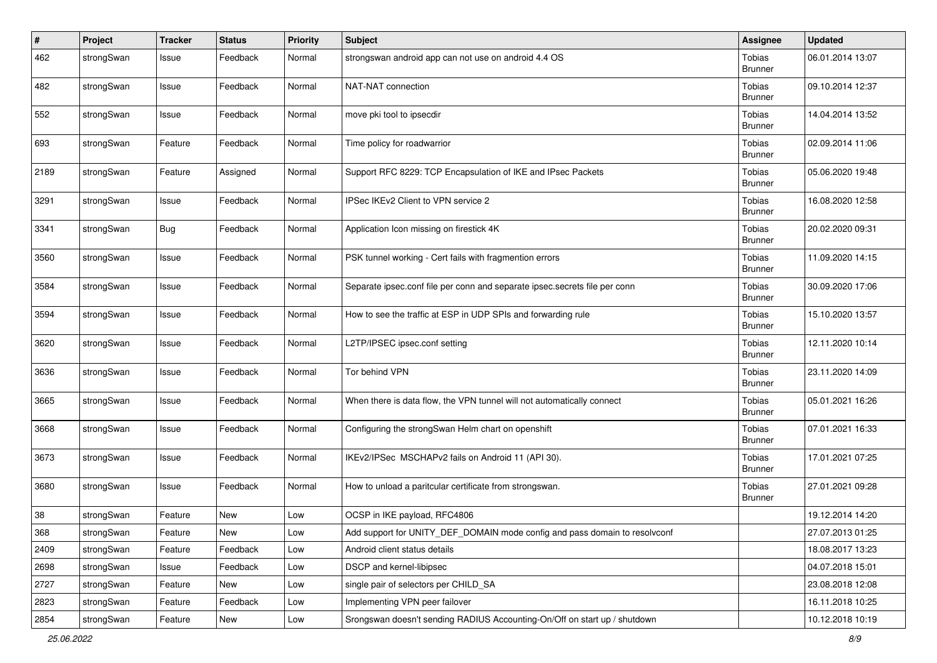| $\#$ | Project    | <b>Tracker</b> | <b>Status</b> | <b>Priority</b> | <b>Subject</b>                                                             | <b>Assignee</b>          | <b>Updated</b>   |
|------|------------|----------------|---------------|-----------------|----------------------------------------------------------------------------|--------------------------|------------------|
| 462  | strongSwan | Issue          | Feedback      | Normal          | strongswan android app can not use on android 4.4 OS                       | Tobias<br><b>Brunner</b> | 06.01.2014 13:07 |
| 482  | strongSwan | Issue          | Feedback      | Normal          | NAT-NAT connection                                                         | Tobias<br><b>Brunner</b> | 09.10.2014 12:37 |
| 552  | strongSwan | Issue          | Feedback      | Normal          | move pki tool to ipsecdir                                                  | Tobias<br><b>Brunner</b> | 14.04.2014 13:52 |
| 693  | strongSwan | Feature        | Feedback      | Normal          | Time policy for roadwarrior                                                | Tobias<br><b>Brunner</b> | 02.09.2014 11:06 |
| 2189 | strongSwan | Feature        | Assigned      | Normal          | Support RFC 8229: TCP Encapsulation of IKE and IPsec Packets               | Tobias<br><b>Brunner</b> | 05.06.2020 19:48 |
| 3291 | strongSwan | Issue          | Feedback      | Normal          | IPSec IKEv2 Client to VPN service 2                                        | Tobias<br><b>Brunner</b> | 16.08.2020 12:58 |
| 3341 | strongSwan | <b>Bug</b>     | Feedback      | Normal          | Application Icon missing on firestick 4K                                   | Tobias<br><b>Brunner</b> | 20.02.2020 09:31 |
| 3560 | strongSwan | Issue          | Feedback      | Normal          | PSK tunnel working - Cert fails with fragmention errors                    | Tobias<br><b>Brunner</b> | 11.09.2020 14:15 |
| 3584 | strongSwan | Issue          | Feedback      | Normal          | Separate ipsec.conf file per conn and separate ipsec.secrets file per conn | Tobias<br><b>Brunner</b> | 30.09.2020 17:06 |
| 3594 | strongSwan | Issue          | Feedback      | Normal          | How to see the traffic at ESP in UDP SPIs and forwarding rule              | Tobias<br><b>Brunner</b> | 15.10.2020 13:57 |
| 3620 | strongSwan | Issue          | Feedback      | Normal          | L2TP/IPSEC ipsec.conf setting                                              | Tobias<br><b>Brunner</b> | 12.11.2020 10:14 |
| 3636 | strongSwan | Issue          | Feedback      | Normal          | Tor behind VPN                                                             | Tobias<br><b>Brunner</b> | 23.11.2020 14:09 |
| 3665 | strongSwan | Issue          | Feedback      | Normal          | When there is data flow, the VPN tunnel will not automatically connect     | Tobias<br><b>Brunner</b> | 05.01.2021 16:26 |
| 3668 | strongSwan | Issue          | Feedback      | Normal          | Configuring the strongSwan Helm chart on openshift                         | Tobias<br><b>Brunner</b> | 07.01.2021 16:33 |
| 3673 | strongSwan | Issue          | Feedback      | Normal          | IKEv2/IPSec MSCHAPv2 fails on Android 11 (API 30).                         | Tobias<br><b>Brunner</b> | 17.01.2021 07:25 |
| 3680 | strongSwan | Issue          | Feedback      | Normal          | How to unload a paritcular certificate from strongswan.                    | Tobias<br><b>Brunner</b> | 27.01.2021 09:28 |
| 38   | strongSwan | Feature        | New           | Low             | OCSP in IKE payload, RFC4806                                               |                          | 19.12.2014 14:20 |
| 368  | strongSwan | Feature        | New           | Low             | Add support for UNITY_DEF_DOMAIN mode config and pass domain to resolvconf |                          | 27.07.2013 01:25 |
| 2409 | strongSwan | Feature        | Feedback      | Low             | Android client status details                                              |                          | 18.08.2017 13:23 |
| 2698 | strongSwan | Issue          | Feedback      | Low             | DSCP and kernel-libipsec                                                   |                          | 04.07.2018 15:01 |
| 2727 | strongSwan | Feature        | New           | Low             | single pair of selectors per CHILD_SA                                      |                          | 23.08.2018 12:08 |
| 2823 | strongSwan | Feature        | Feedback      | Low             | Implementing VPN peer failover                                             |                          | 16.11.2018 10:25 |
| 2854 | strongSwan | Feature        | New           | Low             | Srongswan doesn't sending RADIUS Accounting-On/Off on start up / shutdown  |                          | 10.12.2018 10:19 |